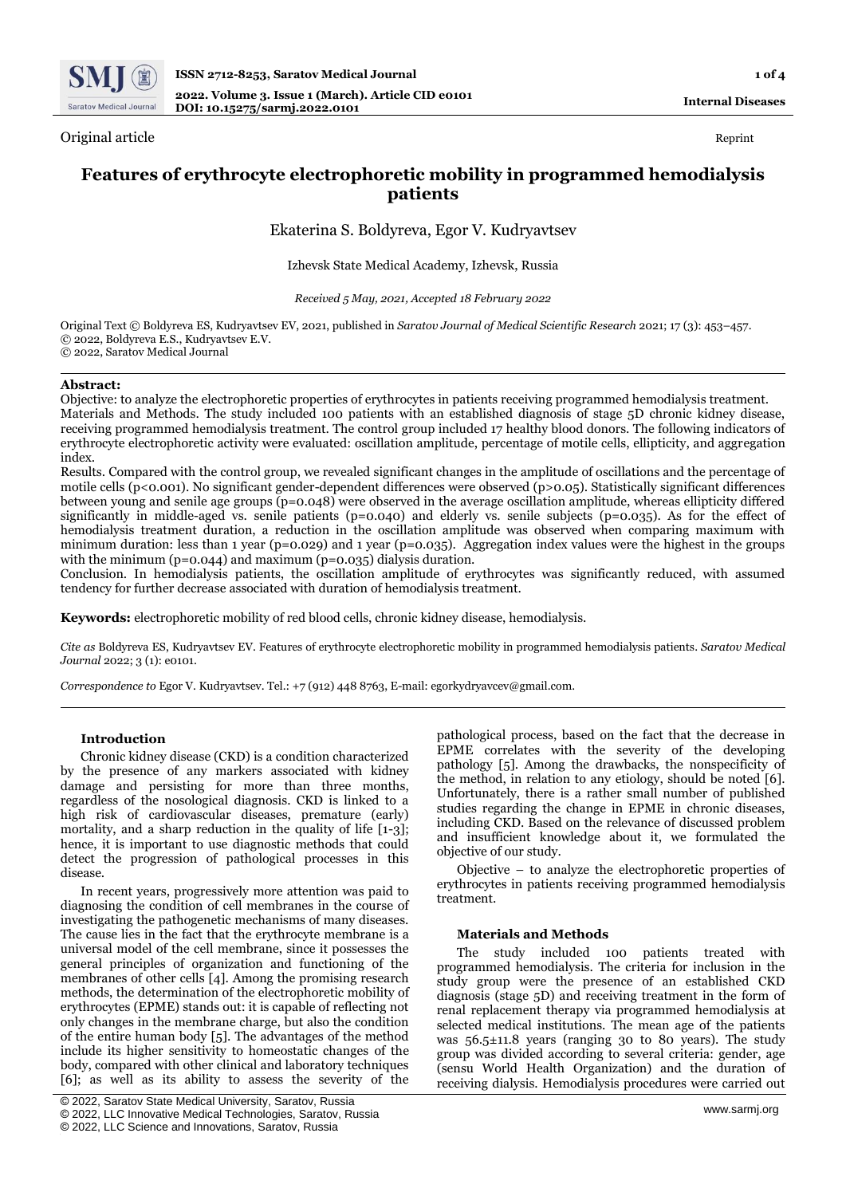

Original article Reprint and the Reprint of the Reprint of the Reprint of the Reprint of the Reprint of the Reprint of the Reprint of the Reprint of the Reprint of the Reprint of the Reprint of the Reprint of the Reprint o

**Internal Diseases**

# **Features of erythrocyte electrophoretic mobility in programmed hemodialysis patients**

Ekaterina S. Boldyreva, Egor V. Kudryavtsev

Izhevsk State Medical Academy, Izhevsk, Russia

*Received 5 May, 2021, Accepted 18 February 2022*

Original Text © Boldyreva ES, Kudryavtsev EV, 2021, published in *Saratov Journal of Medical Scientific Research* 2021; 17 (3): 453–457. © 2022, Boldyreva E.S., Kudryavtsev E.V. © 2022, Saratov Medical Journal

## **Abstract:**

Objective: to analyze the electrophoretic properties of erythrocytes in patients receiving programmed hemodialysis treatment. Materials and Methods. The study included 100 patients with an established diagnosis of stage 5D chronic kidney disease, receiving programmed hemodialysis treatment. The control group included 17 healthy blood donors. The following indicators of erythrocyte electrophoretic activity were evaluated: oscillation amplitude, percentage of motile cells, ellipticity, and aggregation index.

Results. Compared with the control group, we revealed significant changes in the amplitude of oscillations and the percentage of motile cells (p<0.001). No significant gender-dependent differences were observed (p>0.05). Statistically significant differences between young and senile age groups (p=0.048) were observed in the average oscillation amplitude, whereas ellipticity differed significantly in middle-aged vs. senile patients (p=0.040) and elderly vs. senile subjects (p=0.035). As for the effect of hemodialysis treatment duration, a reduction in the oscillation amplitude was observed when comparing maximum with minimum duration: less than 1 year (p=0.029) and 1 year (p=0.035). Aggregation index values were the highest in the groups with the minimum ( $p=0.044$ ) and maximum ( $p=0.035$ ) dialysis duration.

Conclusion. In hemodialysis patients, the oscillation amplitude of erythrocytes was significantly reduced, with assumed tendency for further decrease associated with duration of hemodialysis treatment.

**Keywords:** electrophoretic mobility of red blood cells, chronic kidney disease, hemodialysis.

*Cite as* Boldyreva ES, Kudryavtsev EV. Features of erythrocyte electrophoretic mobility in programmed hemodialysis patients. *Saratov Medical Journal* 2022; 3 (1): e0101.

*Correspondence to* Egor V. Kudryavtsev. Tel.: +7 (912) 448 8763, E-mail: egorkydryavcev@gmail.com.

## **Introduction**

Chronic kidney disease (CKD) is a condition characterized by the presence of any markers associated with kidney damage and persisting for more than three months, regardless of the nosological diagnosis. CKD is linked to a high risk of cardiovascular diseases, premature (early) mortality, and a sharp reduction in the quality of life [1-3]; hence, it is important to use diagnostic methods that could detect the progression of pathological processes in this disease.

In recent years, progressively more attention was paid to diagnosing the condition of cell membranes in the course of investigating the pathogenetic mechanisms of many diseases. The cause lies in the fact that the erythrocyte membrane is a universal model of the cell membrane, since it possesses the general principles of organization and functioning of the membranes of other cells [4]. Among the promising research methods, the determination of the electrophoretic mobility of erythrocytes (EPME) stands out: it is capable of reflecting not only changes in the membrane charge, but also the condition of the entire human body [5]. The advantages of the method include its higher sensitivity to homeostatic changes of the body, compared with other clinical and laboratory techniques [6]; as well as its ability to assess the severity of the

pathological process, based on the fact that the decrease in EPME correlates with the severity of the developing pathology [5]. Among the drawbacks, the nonspecificity of the method, in relation to any etiology, should be noted [6]. Unfortunately, there is a rather small number of published studies regarding the change in EPME in chronic diseases, including CKD. Based on the relevance of discussed problem and insufficient knowledge about it, we formulated the objective of our study.

Objective – to analyze the electrophoretic properties of erythrocytes in patients receiving programmed hemodialysis treatment.

#### **Materials and Methods**

The study included 100 patients treated with programmed hemodialysis. The criteria for inclusion in the study group were the presence of an established CKD diagnosis (stage 5D) and receiving treatment in the form of renal replacement therapy via programmed hemodialysis at selected medical institutions. The mean age of the patients was 56.5±11.8 years (ranging 30 to 80 years). The study group was divided according to several criteria: gender, age (sensu World Health Organization) and the duration of receiving dialysis. Hemodialysis procedures were carried out

<sup>©</sup> 2022, Saratov State Medical University, Saratov, Russia

<sup>©</sup> 2022, LLC Innovative Medical Technologies, Saratov, Russia

<sup>©</sup> 2022, LLC Science and Innovations, Saratov, Russia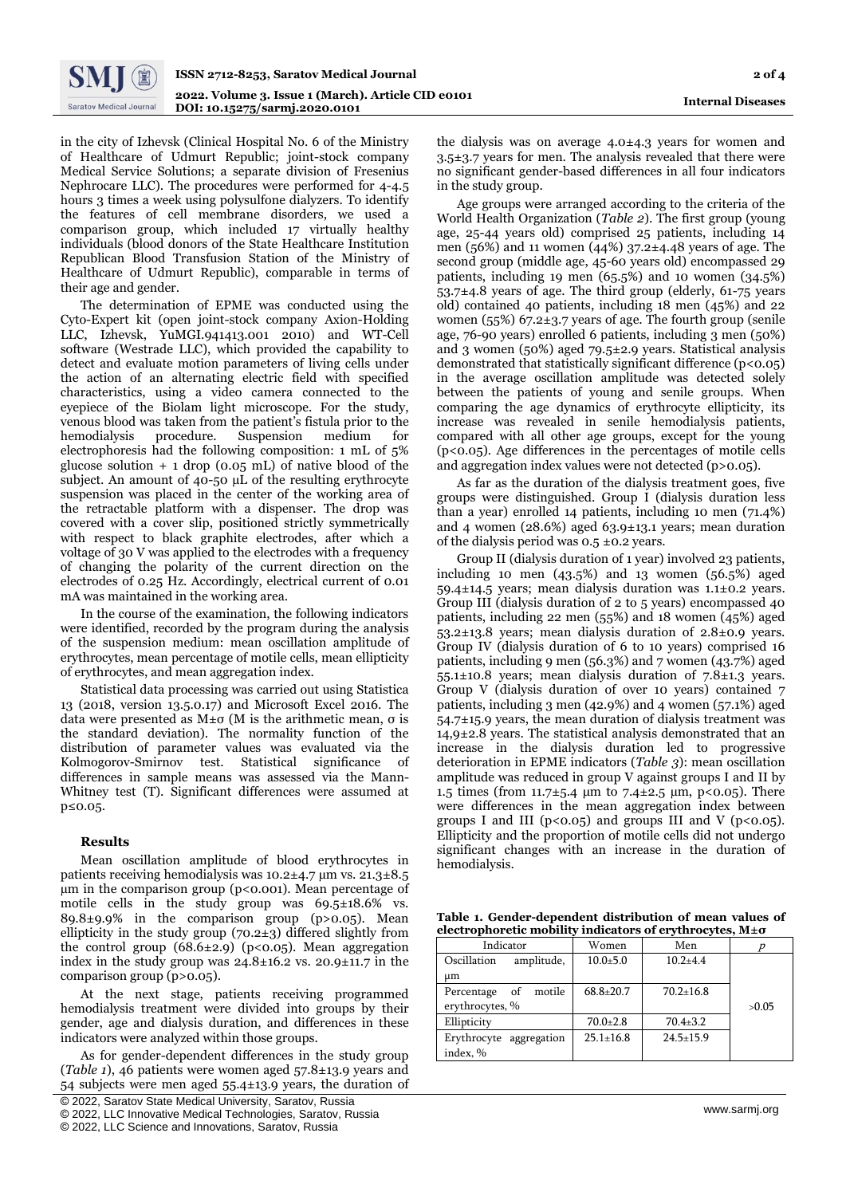

in the city of Izhevsk (Clinical Hospital No. 6 of the Ministry of Healthcare of Udmurt Republic; joint-stock company Medical Service Solutions; a separate division of Fresenius Nephrocare LLC). The procedures were performed for 4-4.5 hours 3 times a week using polysulfone dialyzers. To identify the features of cell membrane disorders, we used a comparison group, which included 17 virtually healthy individuals (blood donors of the State Healthcare Institution Republican Blood Transfusion Station of the Ministry of Healthcare of Udmurt Republic), comparable in terms of their age and gender.

The determination of EPME was conducted using the Cyto-Expert kit (open joint-stock company Axion-Holding LLC, Izhevsk, YuMGI.941413.001 2010) and WT-Cell software (Westrade LLC), which provided the capability to detect and evaluate motion parameters of living cells under the action of an alternating electric field with specified characteristics, using a video camera connected to the eyepiece of the Biolam light microscope. For the study, venous blood was taken from the patient's fistula prior to the hemodialysis procedure. Suspension medium for electrophoresis had the following composition: 1 mL of 5% glucose solution  $+ 1$  drop (0.05 mL) of native blood of the subject. An amount of 40-50 µL of the resulting erythrocyte suspension was placed in the center of the working area of the retractable platform with a dispenser. The drop was covered with a cover slip, positioned strictly symmetrically with respect to black graphite electrodes, after which a voltage of 30 V was applied to the electrodes with a frequency of changing the polarity of the current direction on the electrodes of 0.25 Hz. Accordingly, electrical current of 0.01 mA was maintained in the working area.

In the course of the examination, the following indicators were identified, recorded by the program during the analysis of the suspension medium: mean oscillation amplitude of erythrocytes, mean percentage of motile cells, mean ellipticity of erythrocytes, and mean aggregation index.

Statistical data processing was carried out using Statistica 13 (2018, version 13.5.0.17) and Microsoft Excel 2016. The data were presented as М±σ (M is the arithmetic mean, σ is the standard deviation). The normality function of the distribution of parameter values was evaluated via the Kolmogorov-Smirnov test. Statistical significance of differences in sample means was assessed via the Mann-Whitney test (T). Significant differences were assumed at p≤0.05.

## **Results**

Mean oscillation amplitude of blood erythrocytes in patients receiving hemodialysis was 10.2±4.7 µm vs. 21.3±8.5  $\mu$ m in the comparison group (p<0.001). Mean percentage of motile cells in the study group was 69.5±18.6% vs. 89.8±9.9% in the comparison group (p>0.05). Mean ellipticity in the study group (70.2±3) differed slightly from the control group  $(68.6\pm2.9)$  (p<0.05). Mean aggregation index in the study group was  $24.8\pm16.2$  vs.  $20.9\pm11.7$  in the comparison group (p>0.05).

At the next stage, patients receiving programmed hemodialysis treatment were divided into groups by their gender, age and dialysis duration, and differences in these indicators were analyzed within those groups.

As for gender-dependent differences in the study group (*Table 1*), 46 patients were women aged 57.8±13.9 years and 54 subjects were men aged 55.4±13.9 years, the duration of

[ © 2022, Saratov State Medical University, Saratov, Russia

the dialysis was on average 4.0±4.3 years for women and 3.5±3.7 years for men. The analysis revealed that there were no significant gender-based differences in all four indicators in the study group.

Age groups were arranged according to the criteria of the World Health Organization (*Table 2*). The first group (young age, 25-44 years old) comprised 25 patients, including 14 men (56%) and 11 women (44%) 37.2±4.48 years of age. The second group (middle age, 45-60 years old) encompassed 29 patients, including 19 men (65.5%) and 10 women (34.5%) 53.7±4.8 years of age. The third group (elderly, 61-75 years old) contained 40 patients, including 18 men (45%) and 22 women (55%) 67.2 $\pm$ 3.7 years of age. The fourth group (senile age, 76-90 years) enrolled 6 patients, including 3 men (50%) and 3 women (50%) aged 79.5±2.9 years. Statistical analysis demonstrated that statistically significant difference (p<0.05) in the average oscillation amplitude was detected solely between the patients of young and senile groups. When comparing the age dynamics of erythrocyte ellipticity, its increase was revealed in senile hemodialysis patients, compared with all other age groups, except for the young  $(p<0.05)$ . Age differences in the percentages of motile cells and aggregation index values were not detected (p>0.05).

As far as the duration of the dialysis treatment goes, five groups were distinguished. Group I (dialysis duration less than a year) enrolled 14 patients, including 10 men (71.4%) and 4 women (28.6%) aged  $63.9 \pm 13.1$  years; mean duration of the dialysis period was  $0.5 \pm 0.2$  years.

Group II (dialysis duration of 1 year) involved 23 patients, including 10 men (43.5%) and 13 women (56.5%) aged 59.4±14.5 years; mean dialysis duration was 1.1±0.2 years. Group III (dialysis duration of 2 to 5 years) encompassed 40 patients, including 22 men (55%) and 18 women (45%) aged 53.2±13.8 years; mean dialysis duration of 2.8±0.9 years. Group IV (dialysis duration of 6 to 10 years) comprised 16 patients, including 9 men (56.3%) and 7 women (43.7%) aged 55.1±10.8 years; mean dialysis duration of 7.8±1.3 years. Group V (dialysis duration of over 10 years) contained 7 patients, including 3 men (42.9%) and 4 women (57.1%) aged 54.7±15.9 years, the mean duration of dialysis treatment was 14,9±2.8 years. The statistical analysis demonstrated that an increase in the dialysis duration led to progressive deterioration in EPME indicators (*Table 3*): mean oscillation amplitude was reduced in group V against groups I and II by 1.5 times (from 11.7 $\pm$ 5.4 µm to 7.4 $\pm$ 2.5 µm, p<0.05). There were differences in the mean aggregation index between groups I and III ( $p < 0.05$ ) and groups III and V ( $p < 0.05$ ). Ellipticity and the proportion of motile cells did not undergo significant changes with an increase in the duration of hemodialysis.

**Table 1. Gender-dependent distribution of mean values of electrophoretic mobility indicators of erythrocytes, М±σ**

| Indicator                  | Women           | Men             |       |
|----------------------------|-----------------|-----------------|-------|
| amplitude,<br>Oscillation  | $10.0 + 5.0$    | $10.2 + 4.4$    |       |
| μm                         |                 |                 |       |
| motile<br>οf<br>Percentage | $68.8 \pm 20.7$ | $70.2 \pm 16.8$ |       |
| erythrocytes, %            |                 |                 | >0.05 |
| Ellipticity                | $70.0 \pm 2.8$  | $70.4 + 3.2$    |       |
| Erythrocyte aggregation    | $25.1 + 16.8$   | $24.5 + 15.9$   |       |
| index, %                   |                 |                 |       |

<sup>©</sup> 2022, LLC Innovative Medical Technologies, Saratov, Russia

<sup>©</sup> 2022, LLC Science and Innovations, Saratov, Russia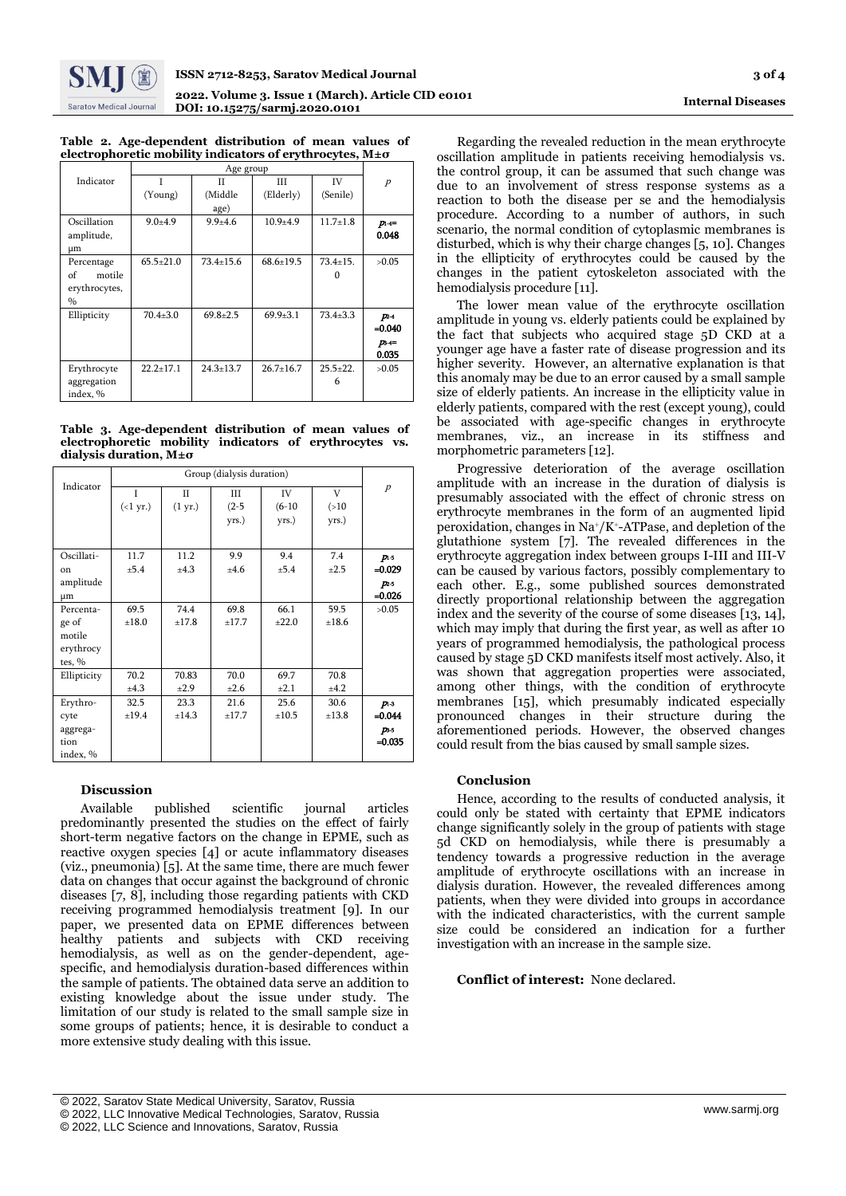

|                                                                   | Table 2. Age-dependent distribution of mean values of |  |  |  |  |  |
|-------------------------------------------------------------------|-------------------------------------------------------|--|--|--|--|--|
| electrophoretic mobility indicators of erythrocytes, $M\pm\sigma$ |                                                       |  |  |  |  |  |
|                                                                   |                                                       |  |  |  |  |  |

| Indicator     | Ī               | П               | Ш               | IV           | $\overline{p}$ |
|---------------|-----------------|-----------------|-----------------|--------------|----------------|
|               | (Young)         | (Middle         | (Elderly)       | (Senile)     |                |
|               |                 | age)            |                 |              |                |
| Oscillation   | $9.0 + 4.9$     | $9.9 + 4.6$     | $10.9 + 4.9$    | $11.7 + 1.8$ | $p_{1+}$       |
| amplitude,    |                 |                 |                 |              | 0.048          |
| μm            |                 |                 |                 |              |                |
| Percentage    | $65.5 \pm 21.0$ | $73.4 \pm 15.6$ | $68.6 \pm 19.5$ | $73.4 + 15.$ | >0.05          |
| of<br>motile  |                 |                 |                 |              |                |
| erythrocytes, |                 |                 |                 |              |                |
| $\frac{0}{0}$ |                 |                 |                 |              |                |
| Ellipticity   | $70.4{\pm}3.0$  | $69.8 \pm 2.5$  | $69.9 \pm 3.1$  | $73.4 + 3.3$ | $p_{2-4}$      |
|               |                 |                 |                 |              | $= 0.040$      |
|               |                 |                 |                 |              | $p_{b+1}$      |
|               |                 |                 |                 |              | 0.035          |
| Erythrocyte   | $22.2 + 17.1$   | $24.3 + 13.7$   | $26.7 + 16.7$   | $25.5 + 22.$ | >0.05          |
| aggregation   |                 |                 |                 | 6            |                |
| index, %      |                 |                 |                 |              |                |

#### **Table 3. Age-dependent distribution of mean values of electrophoretic mobility indicators of erythrocytes vs. dialysis duration, М±σ**

|             | Group (dialysis duration) |                   |         |            |           |                  |
|-------------|---------------------------|-------------------|---------|------------|-----------|------------------|
| Indicator   | L                         | П                 | Ш       | IV         | V         | $\boldsymbol{P}$ |
|             | $(\langle 1 \text{ yr.})$ | $(1 \text{ yr.})$ | $(2-5)$ | $(6-10)$   | ( > 10)   |                  |
|             |                           |                   | yrs.)   | yrs.)      | yrs.)     |                  |
|             |                           |                   |         |            |           |                  |
| Oscillati-  | 11.7                      | 11.2              | 9.9     | 9.4        | 7.4       | $p_{1-5}$        |
| on          | ±5.4                      | ±4.3              | ±4.6    | ±5.4       | $\pm 2.5$ | $=0.029$         |
| amplitude   |                           |                   |         |            |           | p <sub>2</sub>   |
| μm          |                           |                   |         |            |           | $-0.026$         |
| Percenta-   | 69.5                      | 74.4              | 69.8    | 66.1       | 59.5      | >0.05            |
| ge of       | ±18.0                     | ±17.8             | ±17.7   | $\pm 22.0$ | ±18.6     |                  |
| motile      |                           |                   |         |            |           |                  |
| erythrocy   |                           |                   |         |            |           |                  |
| tes, $%$    |                           |                   |         |            |           |                  |
| Ellipticity | 70.2                      | 70.83             | 70.0    | 69.7       | 70.8      |                  |
|             | ±4.3                      | ±2.9              | ±2.6    | $\pm 2.1$  | ±4.2      |                  |
| Erythro-    | 32.5                      | 23.3              | 21.6    | 25.6       | 30.6      | $p_{1-3}$        |
| cyte        | ±19.4                     | ±14.3             | ±17.7   | ±10.5      | ±13.8     | $=0.044$         |
| aggrega-    |                           |                   |         |            |           | $p_{3-5}$        |
| tion        |                           |                   |         |            |           | $=0.035$         |
| index, %    |                           |                   |         |            |           |                  |

## **Discussion**

Available published scientific journal articles predominantly presented the studies on the effect of fairly short-term negative factors on the change in EPME, such as reactive oxygen species [4] or acute inflammatory diseases (viz., pneumonia) [5]. At the same time, there are much fewer data on changes that occur against the background of chronic diseases [7, 8], including those regarding patients with CKD receiving programmed hemodialysis treatment [9]. In our paper, we presented data on EPME differences between healthy patients and subjects with CKD receiving hemodialysis, as well as on the gender-dependent, agespecific, and hemodialysis duration-based differences within the sample of patients. The obtained data serve an addition to existing knowledge about the issue under study. The limitation of our study is related to the small sample size in some groups of patients; hence, it is desirable to conduct a more extensive study dealing with this issue.

The lower mean value of the erythrocyte oscillation amplitude in young vs. elderly patients could be explained by the fact that subjects who acquired stage 5D CKD at a younger age have a faster rate of disease progression and its higher severity. However, an alternative explanation is that this anomaly may be due to an error caused by a small sample size of elderly patients. An increase in the ellipticity value in elderly patients, compared with the rest (except young), could be associated with age-specific changes in erythrocyte membranes, viz., an increase in its stiffness and morphometric parameters [12].

Progressive deterioration of the average oscillation amplitude with an increase in the duration of dialysis is presumably associated with the effect of chronic stress on erythrocyte membranes in the form of an augmented lipid peroxidation, changes in  $Na^+/K^+$ -ATPase, and depletion of the glutathione system [7]. The revealed differences in the erythrocyte aggregation index between groups I-III and III-V can be caused by various factors, possibly complementary to each other. E.g., some published sources demonstrated directly proportional relationship between the aggregation index and the severity of the course of some diseases [13, 14], which may imply that during the first year, as well as after 10 years of programmed hemodialysis, the pathological process caused by stage 5D CKD manifests itself most actively. Also, it was shown that aggregation properties were associated, among other things, with the condition of erythrocyte membranes [15], which presumably indicated especially pronounced changes in their structure during the aforementioned periods. However, the observed changes could result from the bias caused by small sample sizes.

# **Conclusion**

Hence, according to the results of conducted analysis, it could only be stated with certainty that EPME indicators change significantly solely in the group of patients with stage 5d CKD on hemodialysis, while there is presumably a tendency towards a progressive reduction in the average amplitude of erythrocyte oscillations with an increase in dialysis duration. However, the revealed differences among patients, when they were divided into groups in accordance with the indicated characteristics, with the current sample size could be considered an indication for a further investigation with an increase in the sample size.

**Conflict of interest:** None declared.

Regarding the revealed reduction in the mean erythrocyte oscillation amplitude in patients receiving hemodialysis vs. the control group, it can be assumed that such change was due to an involvement of stress response systems as a reaction to both the disease per se and the hemodialysis procedure. According to a number of authors, in such scenario, the normal condition of cytoplasmic membranes is disturbed, which is why their charge changes [5, 10]. Changes in the ellipticity of erythrocytes could be caused by the changes in the patient cytoskeleton associated with the hemodialysis procedure [11].

<sup>[</sup> © 2022, Saratov State Medical University, Saratov, Russia

<sup>©</sup> 2022, LLC Innovative Medical Technologies, Saratov, Russia

<sup>©</sup> 2022, LLC Science and Innovations, Saratov, Russia